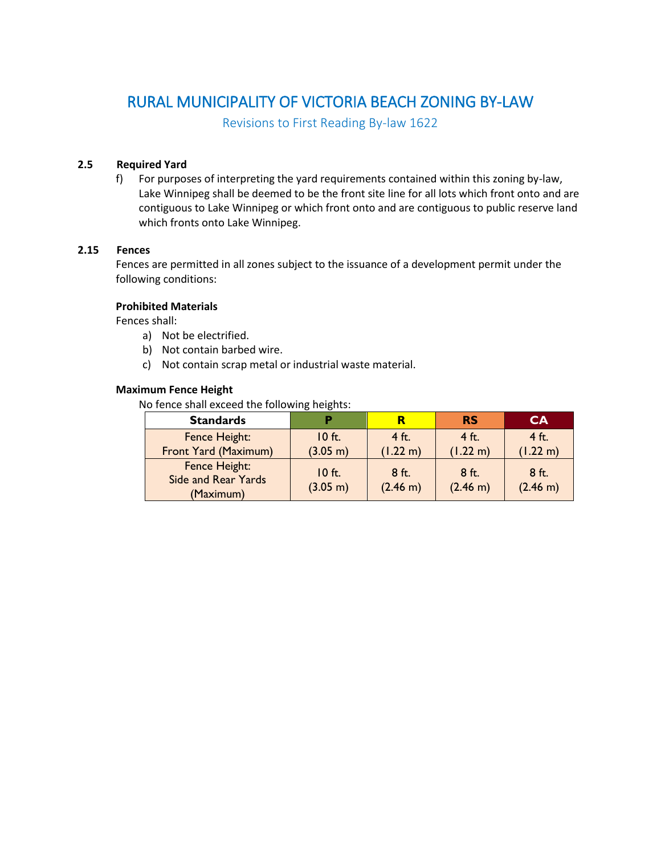# RURAL MUNICIPALITY OF VICTORIA BEACH ZONING BY-LAW

Revisions to First Reading By-law 1622

## **2.5 Required Yard**

f) For purposes of interpreting the yard requirements contained within this zoning by-law, Lake Winnipeg shall be deemed to be the front site line for all lots which front onto and are contiguous to Lake Winnipeg or which front onto and are contiguous to public reserve land which fronts onto Lake Winnipeg.

## **2.15 Fences**

Fences are permitted in all zones subject to the issuance of a development permit under the following conditions:

## **Prohibited Materials**

Fences shall:

- a) Not be electrified.
- b) Not contain barbed wire.
- c) Not contain scrap metal or industrial waste material.

#### **Maximum Fence Height**

No fence shall exceed the following heights:

| <b>Standards</b>                                         |                      |                     | <b>RS</b>           | <b>CA</b>           |
|----------------------------------------------------------|----------------------|---------------------|---------------------|---------------------|
| Fence Height:<br>Front Yard (Maximum)                    | $10$ ft.<br>(3.05 m) | $4$ ft.<br>(1.22 m) | $4$ ft.<br>(1.22 m) | $4$ ft.<br>(1.22 m) |
| Fence Height:<br><b>Side and Rear Yards</b><br>(Maximum) | $10$ ft.<br>(3.05 m) | 8 ft.<br>(2.46 m)   | $8$ ft.<br>(2.46 m) | $8$ ft.<br>(2.46 m) |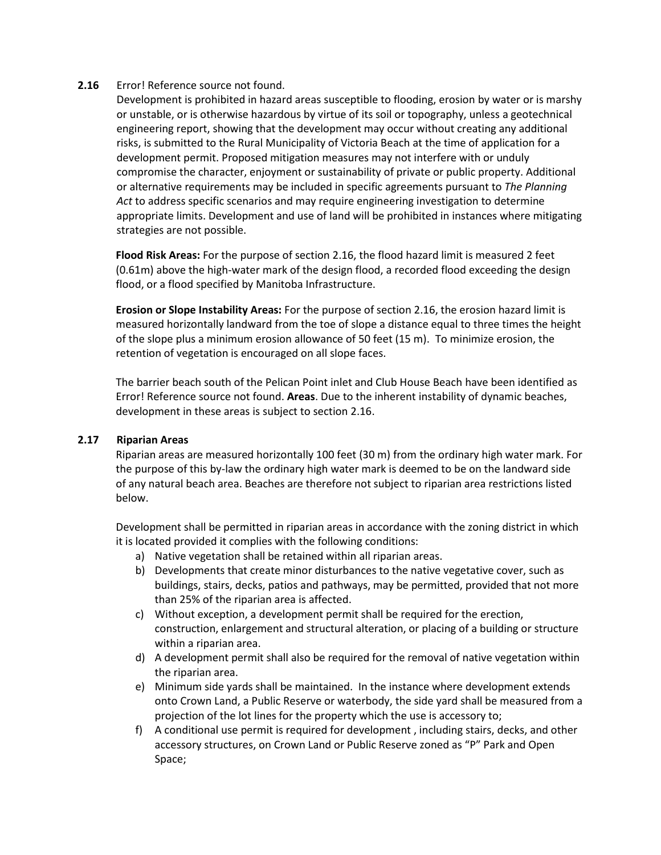## **2.16** Error! Reference source not found.

Development is prohibited in hazard areas susceptible to flooding, erosion by water or is marshy or unstable, or is otherwise hazardous by virtue of its soil or topography, unless a geotechnical engineering report, showing that the development may occur without creating any additional risks, is submitted to the Rural Municipality of Victoria Beach at the time of application for a development permit. Proposed mitigation measures may not interfere with or unduly compromise the character, enjoyment or sustainability of private or public property. Additional or alternative requirements may be included in specific agreements pursuant to *The Planning Act* to address specific scenarios and may require engineering investigation to determine appropriate limits. Development and use of land will be prohibited in instances where mitigating strategies are not possible.

**Flood Risk Areas:** For the purpose of section 2.16, the flood hazard limit is measured 2 feet (0.61m) above the high-water mark of the design flood, a recorded flood exceeding the design flood, or a flood specified by Manitoba Infrastructure.

**Erosion or Slope Instability Areas:** For the purpose of section 2.16, the erosion hazard limit is measured horizontally landward from the toe of slope a distance equal to three times the height of the slope plus a minimum erosion allowance of 50 feet (15 m). To minimize erosion, the retention of vegetation is encouraged on all slope faces.

The barrier beach south of the Pelican Point inlet and Club House Beach have been identified as Error! Reference source not found. **Areas**. Due to the inherent instability of dynamic beaches, development in these areas is subject to section 2.16.

## **2.17 Riparian Areas**

Riparian areas are measured horizontally 100 feet (30 m) from the ordinary high water mark. For the purpose of this by-law the ordinary high water mark is deemed to be on the landward side of any natural beach area. Beaches are therefore not subject to riparian area restrictions listed below.

Development shall be permitted in riparian areas in accordance with the zoning district in which it is located provided it complies with the following conditions:

- a) Native vegetation shall be retained within all riparian areas.
- b) Developments that create minor disturbances to the native vegetative cover, such as buildings, stairs, decks, patios and pathways, may be permitted, provided that not more than 25% of the riparian area is affected.
- c) Without exception, a development permit shall be required for the erection, construction, enlargement and structural alteration, or placing of a building or structure within a riparian area.
- d) A development permit shall also be required for the removal of native vegetation within the riparian area.
- e) Minimum side yards shall be maintained. In the instance where development extends onto Crown Land, a Public Reserve or waterbody, the side yard shall be measured from a projection of the lot lines for the property which the use is accessory to;
- f) A conditional use permit is required for development , including stairs, decks, and other accessory structures, on Crown Land or Public Reserve zoned as "P" Park and Open Space;